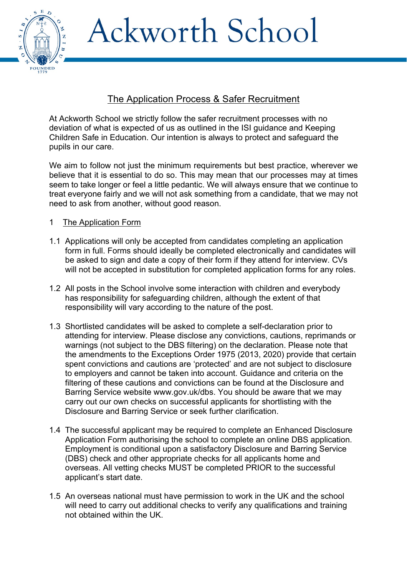Ackworth School



# The Application Process & Safer Recruitment

At Ackworth School we strictly follow the safer recruitment processes with no deviation of what is expected of us as outlined in the ISI guidance and Keeping Children Safe in Education. Our intention is always to protect and safeguard the pupils in our care.

We aim to follow not just the minimum requirements but best practice, wherever we believe that it is essential to do so. This may mean that our processes may at times seem to take longer or feel a little pedantic. We will always ensure that we continue to treat everyone fairly and we will not ask something from a candidate, that we may not need to ask from another, without good reason.

## 1 The Application Form

- 1.1 Applications will only be accepted from candidates completing an application form in full. Forms should ideally be completed electronically and candidates will be asked to sign and date a copy of their form if they attend for interview. CVs will not be accepted in substitution for completed application forms for any roles.
- 1.2 All posts in the School involve some interaction with children and everybody has responsibility for safeguarding children, although the extent of that responsibility will vary according to the nature of the post.
- 1.3 Shortlisted candidates will be asked to complete a self-declaration prior to attending for interview. Please disclose any convictions, cautions, reprimands or warnings (not subject to the DBS filtering) on the declaration. Please note that the amendments to the Exceptions Order 1975 (2013, 2020) provide that certain spent convictions and cautions are 'protected' and are not subject to disclosure to employers and cannot be taken into account. Guidance and criteria on the filtering of these cautions and convictions can be found at the Disclosure and Barring Service website www.gov.uk/dbs. You should be aware that we may carry out our own checks on successful applicants for shortlisting with the Disclosure and Barring Service or seek further clarification.
- 1.4 The successful applicant may be required to complete an Enhanced Disclosure Application Form authorising the school to complete an online DBS application. Employment is conditional upon a satisfactory Disclosure and Barring Service (DBS) check and other appropriate checks for all applicants home and overseas. All vetting checks MUST be completed PRIOR to the successful applicant's start date.
- 1.5 An overseas national must have permission to work in the UK and the school will need to carry out additional checks to verify any qualifications and training not obtained within the UK.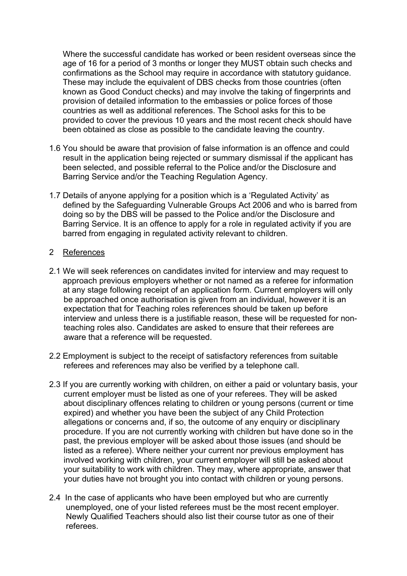Where the successful candidate has worked or been resident overseas since the age of 16 for a period of 3 months or longer they MUST obtain such checks and confirmations as the School may require in accordance with statutory guidance. These may include the equivalent of DBS checks from those countries (often known as Good Conduct checks) and may involve the taking of fingerprints and provision of detailed information to the embassies or police forces of those countries as well as additional references. The School asks for this to be provided to cover the previous 10 years and the most recent check should have been obtained as close as possible to the candidate leaving the country.

- 1.6 You should be aware that provision of false information is an offence and could result in the application being rejected or summary dismissal if the applicant has been selected, and possible referral to the Police and/or the Disclosure and Barring Service and/or the Teaching Regulation Agency.
- 1.7 Details of anyone applying for a position which is a 'Regulated Activity' as defined by the Safeguarding Vulnerable Groups Act 2006 and who is barred from doing so by the DBS will be passed to the Police and/or the Disclosure and Barring Service. It is an offence to apply for a role in regulated activity if you are barred from engaging in regulated activity relevant to children.

#### 2 References

- 2.1 We will seek references on candidates invited for interview and may request to approach previous employers whether or not named as a referee for information at any stage following receipt of an application form. Current employers will only be approached once authorisation is given from an individual, however it is an expectation that for Teaching roles references should be taken up before interview and unless there is a justifiable reason, these will be requested for nonteaching roles also. Candidates are asked to ensure that their referees are aware that a reference will be requested.
- 2.2 Employment is subject to the receipt of satisfactory references from suitable referees and references may also be verified by a telephone call.
- 2.3 If you are currently working with children, on either a paid or voluntary basis, your current employer must be listed as one of your referees. They will be asked about disciplinary offences relating to children or young persons (current or time expired) and whether you have been the subject of any Child Protection allegations or concerns and, if so, the outcome of any enquiry or disciplinary procedure. If you are not currently working with children but have done so in the past, the previous employer will be asked about those issues (and should be listed as a referee). Where neither your current nor previous employment has involved working with children, your current employer will still be asked about your suitability to work with children. They may, where appropriate, answer that your duties have not brought you into contact with children or young persons.
- 2.4 In the case of applicants who have been employed but who are currently unemployed, one of your listed referees must be the most recent employer. Newly Qualified Teachers should also list their course tutor as one of their referees.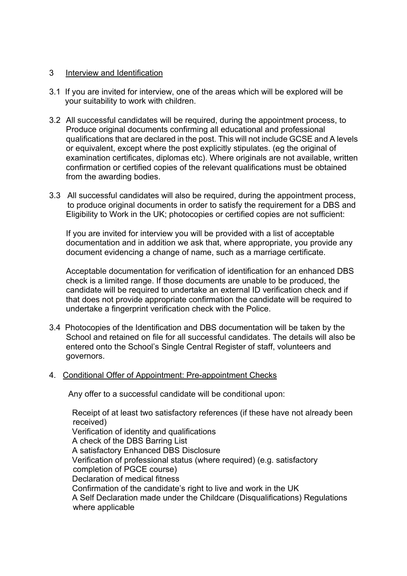#### 3 Interview and Identification

- 3.1 If you are invited for interview, one of the areas which will be explored will be your suitability to work with children.
- 3.2 All successful candidates will be required, during the appointment process, to Produce original documents confirming all educational and professional qualifications that are declared in the post. This will not include GCSE and A levels or equivalent, except where the post explicitly stipulates. (eg the original of examination certificates, diplomas etc). Where originals are not available, written confirmation or certified copies of the relevant qualifications must be obtained from the awarding bodies.
- 3.3 All successful candidates will also be required, during the appointment process, to produce original documents in order to satisfy the requirement for a DBS and Eligibility to Work in the UK; photocopies or certified copies are not sufficient:

 If you are invited for interview you will be provided with a list of acceptable documentation and in addition we ask that, where appropriate, you provide any document evidencing a change of name, such as a marriage certificate.

Acceptable documentation for verification of identification for an enhanced DBS check is a limited range. If those documents are unable to be produced, the candidate will be required to undertake an external ID verification check and if that does not provide appropriate confirmation the candidate will be required to undertake a fingerprint verification check with the Police.

3.4 Photocopies of the Identification and DBS documentation will be taken by the School and retained on file for all successful candidates. The details will also be entered onto the School's Single Central Register of staff, volunteers and governors.

#### 4. Conditional Offer of Appointment: Pre-appointment Checks

Any offer to a successful candidate will be conditional upon:

 Receipt of at least two satisfactory references (if these have not already been received) Verification of identity and qualifications A check of the DBS Barring List A satisfactory Enhanced DBS Disclosure Verification of professional status (where required) (e.g. satisfactory completion of PGCE course) Declaration of medical fitness Confirmation of the candidate's right to live and work in the UK A Self Declaration made under the Childcare (Disqualifications) Regulations where applicable